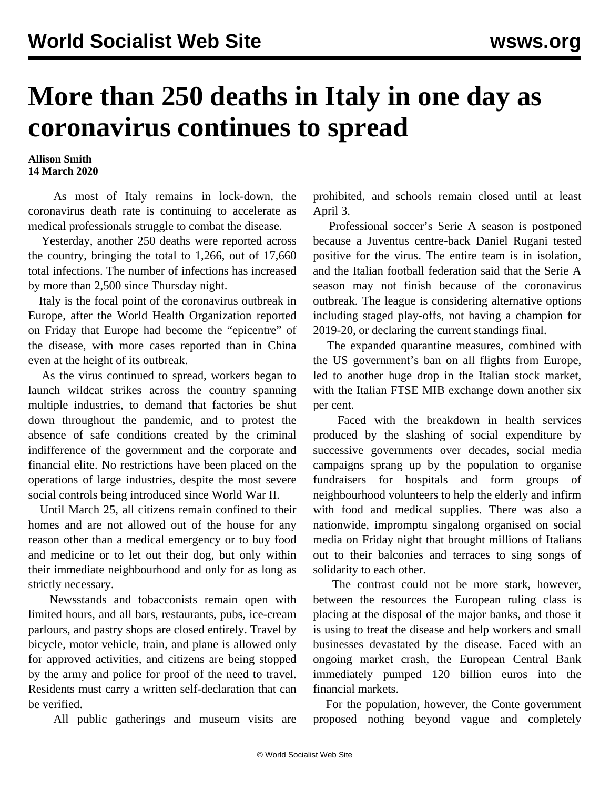## **More than 250 deaths in Italy in one day as coronavirus continues to spread**

## **Allison Smith 14 March 2020**

 As most of Italy remains in lock-down, the coronavirus death rate is continuing to accelerate as medical professionals struggle to combat the disease.

 Yesterday, another 250 deaths were reported across the country, bringing the total to 1,266, out of 17,660 total infections. The number of infections has increased by more than 2,500 since Thursday night.

 Italy is the focal point of the coronavirus outbreak in Europe, after the World Health Organization reported on Friday that Europe had become the "epicentre" of the disease, with more cases reported than in China even at the height of its outbreak.

 As the virus continued to spread, workers began to [launch wildcat strikes](/en/articles/2020/03/14/ital-m14.html) across the country spanning multiple industries, to demand that factories be shut down throughout the pandemic, and to protest the absence of safe conditions created by the criminal indifference of the government and the corporate and financial elite. No restrictions have been placed on the operations of large industries, despite the most severe social controls being introduced since World War II.

 Until March 25, all citizens remain confined to their homes and are not allowed out of the house for any reason other than a medical emergency or to buy food and medicine or to let out their dog, but only within their immediate neighbourhood and only for as long as strictly necessary.

 Newsstands and tobacconists remain open with limited hours, and all bars, restaurants, pubs, ice-cream parlours, and pastry shops are closed entirely. Travel by bicycle, motor vehicle, train, and plane is allowed only for approved activities, and citizens are being stopped by the army and police for proof of the need to travel. Residents must carry a written self-declaration that can be verified.

All public gatherings and museum visits are

prohibited, and schools remain closed until at least April 3.

 Professional soccer's Serie A season is postponed because a Juventus centre-back Daniel Rugani tested positive for the virus. The entire team is in isolation, and the Italian football federation said that the Serie A season may not finish because of the coronavirus outbreak. The league is considering alternative options including staged play-offs, not having a champion for 2019-20, or declaring the current standings final.

 The expanded quarantine measures, combined with the US government's ban on all flights from Europe, led to another huge drop in the Italian stock market, with the Italian FTSE MIB exchange down another six per cent.

 Faced with the breakdown in health services produced by the slashing of social expenditure by successive governments over decades, social media campaigns sprang up by the population to organise fundraisers for hospitals and form groups of neighbourhood volunteers to help the elderly and infirm with food and medical supplies. There was also a nationwide, impromptu [singalong](https://www.theguardian.com/world/video/2020/mar/13/coronavirus-quarantined-italians-sing-from-balconies-to-lift-spirits-video) organised on social media on Friday night that brought millions of Italians out to their balconies and terraces to sing songs of solidarity to each other.

 The contrast could not be more stark, however, between the resources the European ruling class is placing at the disposal of the major banks, and those it is using to treat the disease and help workers and small businesses devastated by the disease. Faced with an ongoing market crash, the European Central Bank immediately pumped 120 billion euros into the financial markets.

 For the population, however, the Conte government proposed nothing beyond vague and completely